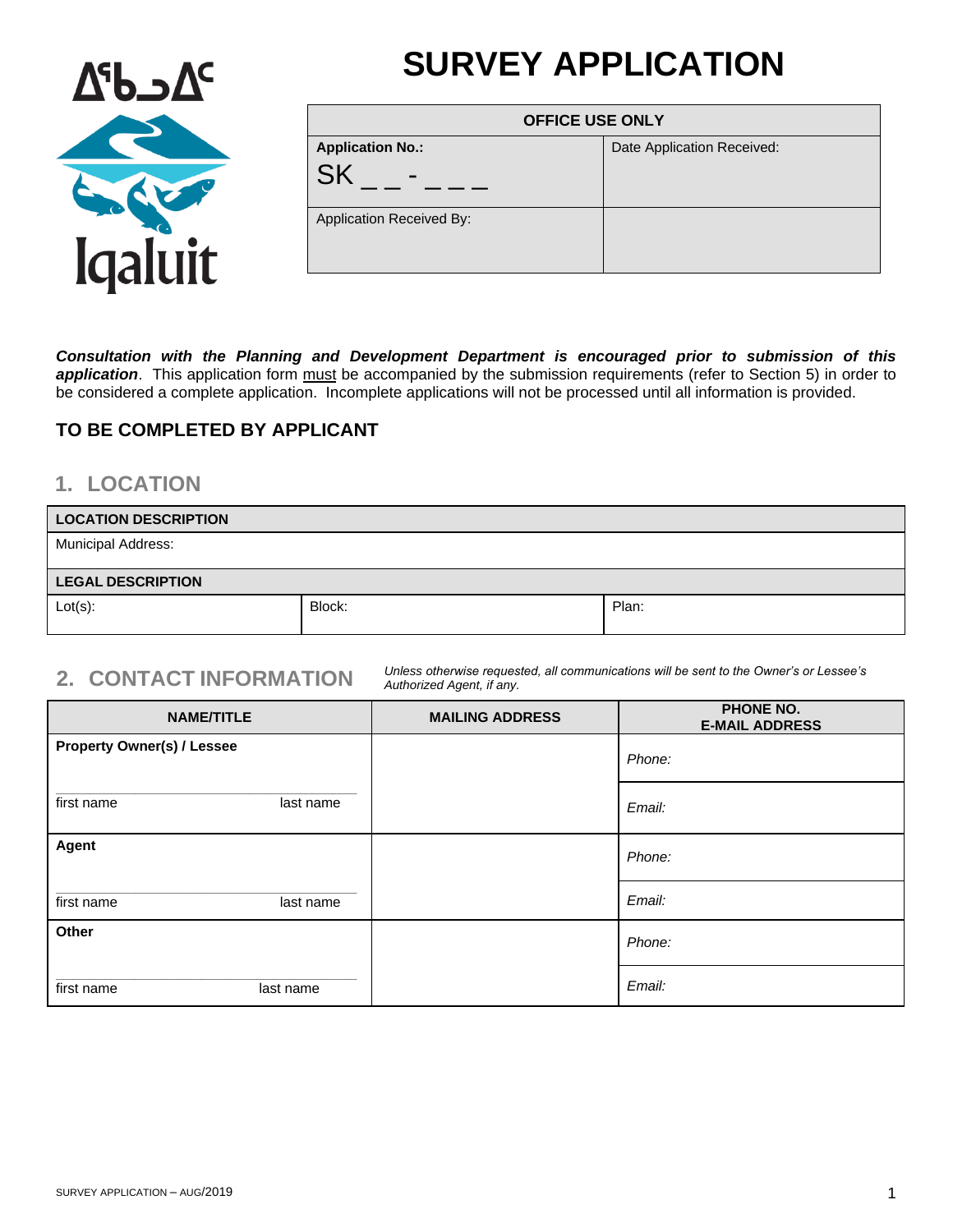# **SURVEY APPLICATION**



| <b>OFFICE USE ONLY</b>   |                            |
|--------------------------|----------------------------|
| <b>Application No.:</b>  | Date Application Received: |
| -                        |                            |
| Application Received By: |                            |

*Consultation with the Planning and Development Department is encouraged prior to submission of this*  application. This application form must be accompanied by the submission requirements (refer to Section 5) in order to be considered a complete application. Incomplete applications will not be processed until all information is provided.

#### **TO BE COMPLETED BY APPLICANT**

#### **1. LOCATION**

| <b>LOCATION DESCRIPTION</b> |        |       |
|-----------------------------|--------|-------|
| <b>Municipal Address:</b>   |        |       |
| <b>LEGAL DESCRIPTION</b>    |        |       |
| $Lot(s)$ :                  | Block: | Plan: |

**2. CONTACT INFORMATION** *Unless otherwise requested, all communications will be sent to the Owner's or Lessee's Authorized Agent, if any.*

| <b>NAME/TITLE</b>                 | <b>MAILING ADDRESS</b> | <b>PHONE NO.</b><br><b>E-MAIL ADDRESS</b> |
|-----------------------------------|------------------------|-------------------------------------------|
| <b>Property Owner(s) / Lessee</b> |                        | Phone:                                    |
| first name<br>last name           |                        | Email:                                    |
| Agent                             |                        | Phone:                                    |
| first name<br>last name           |                        | Email:                                    |
| Other                             |                        | Phone:                                    |
| first name<br>last name           |                        | Email:                                    |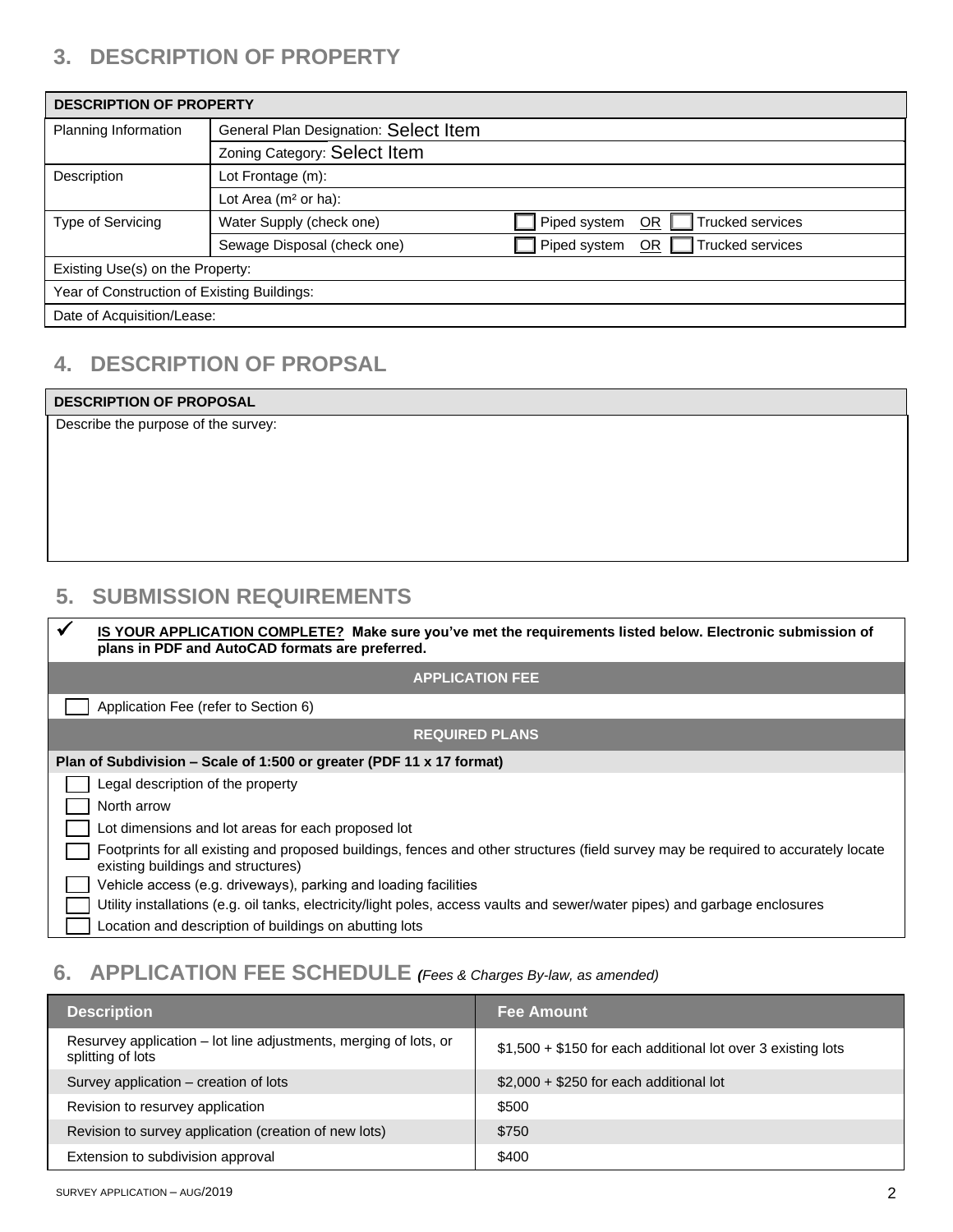# **3. DESCRIPTION OF PROPERTY**

| <b>DESCRIPTION OF PROPERTY</b>              |                                                                        |              |                         |
|---------------------------------------------|------------------------------------------------------------------------|--------------|-------------------------|
| Planning Information                        | General Plan Designation: Select Item                                  |              |                         |
|                                             | Zoning Category: Select Item                                           |              |                         |
| Description                                 | Lot Frontage (m):                                                      |              |                         |
|                                             | Lot Area (m <sup>2</sup> or ha):                                       |              |                         |
| Type of Servicing                           | Water Supply (check one)                                               | Piped system | Trucked services<br>OR. |
|                                             | Trucked services<br>Piped system<br>Sewage Disposal (check one)<br>OR. |              |                         |
| Existing Use(s) on the Property:            |                                                                        |              |                         |
| Year of Construction of Existing Buildings: |                                                                        |              |                         |
| Date of Acquisition/Lease:                  |                                                                        |              |                         |

## **4. DESCRIPTION OF PROPSAL**

| <b>DESCRIPTION OF PROPOSAL</b>      |  |
|-------------------------------------|--|
| Describe the purpose of the survey: |  |
|                                     |  |
|                                     |  |
|                                     |  |
|                                     |  |
|                                     |  |
|                                     |  |

#### **5. SUBMISSION REQUIREMENTS**

| ✔ | <b>IS YOUR APPLICATION COMPLETE?</b> Make sure you've met the requirements listed below. Electronic submission of<br>plans in PDF and AutoCAD formats are preferred.     |
|---|--------------------------------------------------------------------------------------------------------------------------------------------------------------------------|
|   | <b>APPLICATION FEE</b>                                                                                                                                                   |
|   | Application Fee (refer to Section 6)                                                                                                                                     |
|   | <b>REQUIRED PLANS</b>                                                                                                                                                    |
|   | Plan of Subdivision – Scale of 1:500 or greater (PDF 11 x 17 format)                                                                                                     |
|   | Legal description of the property                                                                                                                                        |
|   | North arrow                                                                                                                                                              |
|   | Lot dimensions and lot areas for each proposed lot                                                                                                                       |
|   | Footprints for all existing and proposed buildings, fences and other structures (field survey may be required to accurately locate<br>existing buildings and structures) |
|   | Vehicle access (e.g. driveways), parking and loading facilities                                                                                                          |
|   | Utility installations (e.g. oil tanks, electricity/light poles, access vaults and sewer/water pipes) and garbage enclosures                                              |
|   | Location and description of buildings on abutting lots                                                                                                                   |

# **6. APPLICATION FEE SCHEDULE** *(Fees & Charges By-law, as amended)*

| <b>Description</b>                                                                    | <b>Fee Amount</b>                                            |
|---------------------------------------------------------------------------------------|--------------------------------------------------------------|
| Resurvey application – lot line adjustments, merging of lots, or<br>splitting of lots | \$1,500 + \$150 for each additional lot over 3 existing lots |
| Survey application – creation of lots                                                 | $$2,000 + $250$ for each additional lot                      |
| Revision to resurvey application                                                      | \$500                                                        |
| Revision to survey application (creation of new lots)                                 | \$750                                                        |
| Extension to subdivision approval                                                     | \$400                                                        |